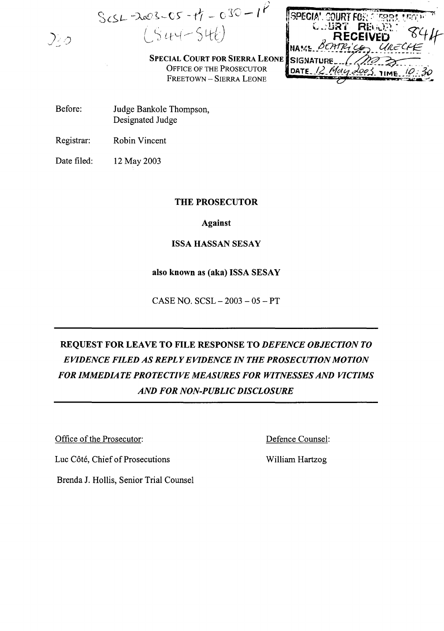$ScSL = \lambda \infty 3 - 05 - t\gamma = 030 - 1\gamma$  $CS44-546$ 

| SPECIA', COURT FOR A ISBRIT BEACH |                 |  |
|-----------------------------------|-----------------|--|
|                                   | COURT REGORD    |  |
| NAME BEATRICE URECHE              | <b>RECEIVED</b> |  |
| SIGNATURE__/_/                    |                 |  |
| DATE 12 May 2003 TIME 10:30       |                 |  |

SPECIAL COURT FOR SIERRA LEONE OFFICE OF THE PROSECUTOR FREETOWN - SIERRA LEONE

- Before: Judge Bankole Thompson, Designated Judge
- Registrar: Robin Vincent

 $\mathcal{Q}_{\leq 0}$ 

Date filed: 12 May 2003

## THE PROSECUTOR

Against

## ISSA HASSAN SESAY

## also known as (aka) ISSA SESAY

CASE NO. SCSL - 2003 - 05 - PT

# REQUEST FOR LEAVE TO FILE RESPONSE TO *DEFENCE OBJECTION TO EVIDENCE FILED AS REPLYEVIDENCE IN THE PROSECUTION MOTION FOR IMMEDIATE PROTECTIVE MEASURES FOR WITNESSES AND VICTIMS AND FOR NON-PUBLIC DISCLOSURE*

Office of the Prosecutor:

Defence Counsel:

Luc Côté, Chief of Prosecutions

William Hartzog

Brenda 1. Hollis, Senior Trial Counsel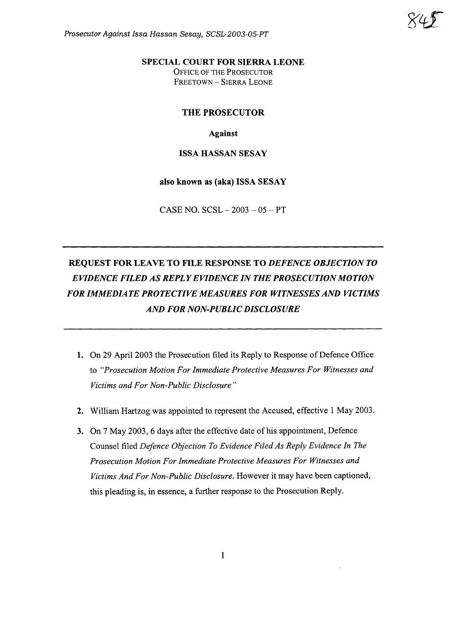Prosecutor Against Issa Hassan Sesay, SCSL-2003-05-PT



## SPECIAL COURT FOR SIERRA LEONE

OFFICE OF THE PROSECUTOR FREETOWN - SIERRA LEONE

### THE PROSECUTOR

Against

### ISSA HASSAN SESAY

also known as (aka) ISSA SESAY

CASE NO.  $SCSL - 2003 - 05 - PT$ 

# REQUEST FOR LEAVE TO FILE RESPONSE TO *DEFENCE OBJECTION TO EVIDENCE FILED AS REPLYEVIDENCE IN THE PROSECUTION MOTION FOR IMMEDIATE PROTECTIVE MEASURES FOR WITNESSES AND VICTIMS AND FOR NON-PUBLIC DISCLOSURE*

- 1. On 29 April 2003 the Prosecution filed its Reply to Response of Defence Office to *"Prosecution Motion For Immediate Protective Measures For Witnesses and Victims and For Non-Public Disclosure"*
- 2. William Hartzog was appointed to represent the Accused, effective I May 2003.
- 3. On 7 May 2003, 6 days after the effective date of his appointment, Defence Counsel filed *Defence Objection To Evidence Filed As Reply Evidence In The Prosecution Motion For Immediate Protective Measures For Witnesses and Victims And For Non-Public Disclosure.* However it may have been captioned, this pleading is, in essence, a further response to the Prosecution Reply.